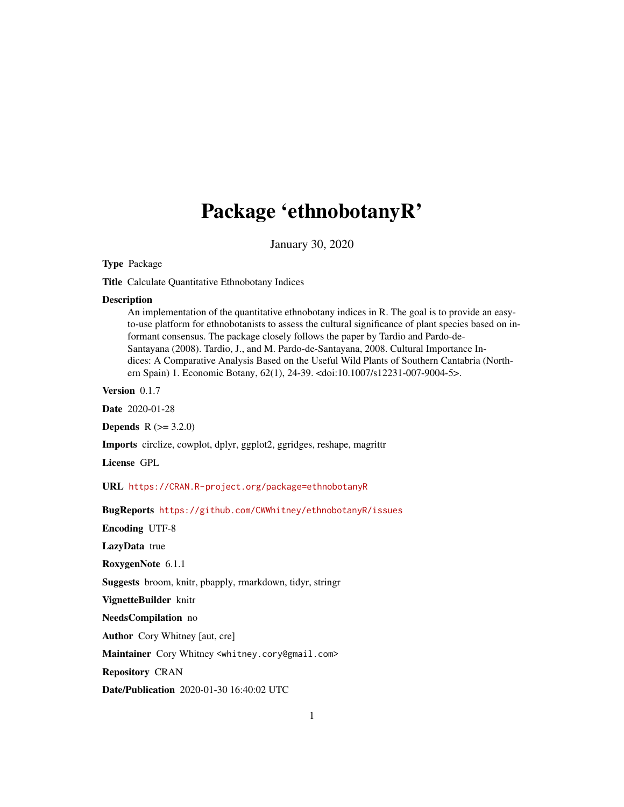# Package 'ethnobotanyR'

January 30, 2020

Type Package

Title Calculate Quantitative Ethnobotany Indices

#### **Description**

An implementation of the quantitative ethnobotany indices in R. The goal is to provide an easyto-use platform for ethnobotanists to assess the cultural significance of plant species based on informant consensus. The package closely follows the paper by Tardio and Pardo-de-Santayana (2008). Tardio, J., and M. Pardo-de-Santayana, 2008. Cultural Importance Indices: A Comparative Analysis Based on the Useful Wild Plants of Southern Cantabria (Northern Spain) 1. Economic Botany, 62(1), 24-39. <doi:10.1007/s12231-007-9004-5>.

Version 0.1.7

Date 2020-01-28

**Depends**  $R (= 3.2.0)$ 

Imports circlize, cowplot, dplyr, ggplot2, ggridges, reshape, magrittr

License GPL

URL <https://CRAN.R-project.org/package=ethnobotanyR>

BugReports <https://github.com/CWWhitney/ethnobotanyR/issues>

Encoding UTF-8

LazyData true

RoxygenNote 6.1.1

Suggests broom, knitr, pbapply, rmarkdown, tidyr, stringr

VignetteBuilder knitr

NeedsCompilation no

Author Cory Whitney [aut, cre]

Maintainer Cory Whitney <whitney.cory@gmail.com>

Repository CRAN

Date/Publication 2020-01-30 16:40:02 UTC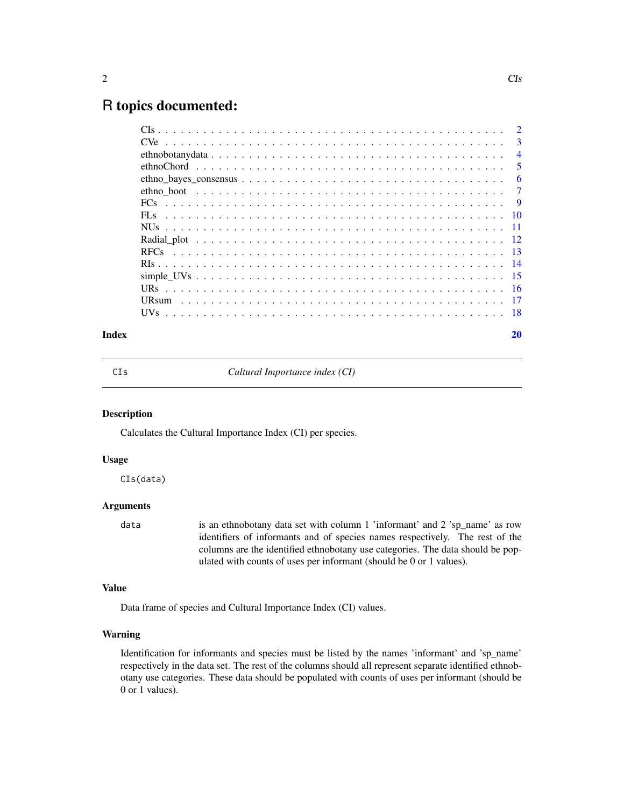# <span id="page-1-0"></span>R topics documented:

|                 | $\overline{2}$ |
|-----------------|----------------|
|                 | 3              |
|                 | $\overline{4}$ |
|                 | 5              |
|                 | 6              |
|                 | 7              |
|                 | - 9            |
| FL <sub>s</sub> |                |
|                 |                |
|                 |                |
|                 |                |
|                 |                |
|                 |                |
|                 |                |
|                 |                |
|                 |                |
|                 |                |

# $\bf 1$ ndex  $\bf 20$  $\bf 20$

CIs *Cultural Importance index (CI)*

# Description

Calculates the Cultural Importance Index (CI) per species.

# Usage

CIs(data)

# Arguments

data is an ethnobotany data set with column 1 'informant' and 2 'sp\_name' as row identifiers of informants and of species names respectively. The rest of the columns are the identified ethnobotany use categories. The data should be populated with counts of uses per informant (should be 0 or 1 values).

# Value

Data frame of species and Cultural Importance Index (CI) values.

# Warning

Identification for informants and species must be listed by the names 'informant' and 'sp\_name' respectively in the data set. The rest of the columns should all represent separate identified ethnobotany use categories. These data should be populated with counts of uses per informant (should be 0 or 1 values).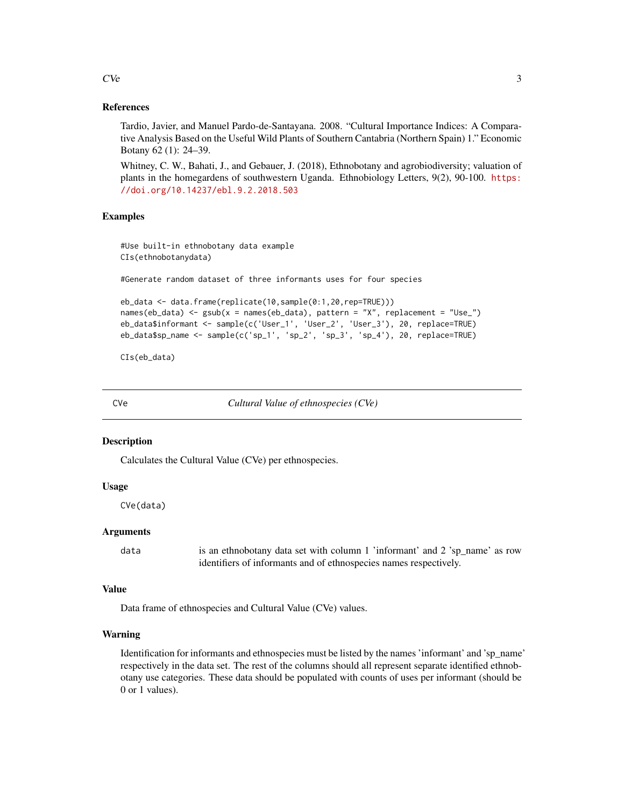#### References

Tardio, Javier, and Manuel Pardo-de-Santayana. 2008. "Cultural Importance Indices: A Comparative Analysis Based on the Useful Wild Plants of Southern Cantabria (Northern Spain) 1." Economic Botany 62 (1): 24–39.

Whitney, C. W., Bahati, J., and Gebauer, J. (2018), Ethnobotany and agrobiodiversity; valuation of plants in the homegardens of southwestern Uganda. Ethnobiology Letters, 9(2), 90-100. [https:](https://doi.org/10.14237/ebl.9.2.2018.503) [//doi.org/10.14237/ebl.9.2.2018.503](https://doi.org/10.14237/ebl.9.2.2018.503)

#### Examples

#Use built-in ethnobotany data example CIs(ethnobotanydata)

#Generate random dataset of three informants uses for four species

```
eb_data <- data.frame(replicate(10,sample(0:1,20,rep=TRUE)))
names(eb_data) \leq-gsub(x = names(eb_data), pattern = "X", replacement = "Use"]eb_data$informant <- sample(c('User_1', 'User_2', 'User_3'), 20, replace=TRUE)
eb_data$sp_name <- sample(c('sp_1', 'sp_2', 'sp_3', 'sp_4'), 20, replace=TRUE)
```
CIs(eb\_data)

CVe *Cultural Value of ethnospecies (CVe)*

#### **Description**

Calculates the Cultural Value (CVe) per ethnospecies.

#### Usage

CVe(data)

# Arguments

data is an ethnobotany data set with column 1 'informant' and 2 'sp\_name' as row identifiers of informants and of ethnospecies names respectively.

#### Value

Data frame of ethnospecies and Cultural Value (CVe) values.

#### Warning

Identification for informants and ethnospecies must be listed by the names 'informant' and 'sp\_name' respectively in the data set. The rest of the columns should all represent separate identified ethnobotany use categories. These data should be populated with counts of uses per informant (should be 0 or 1 values).

#### <span id="page-2-0"></span> $C$ Ve  $\overline{3}$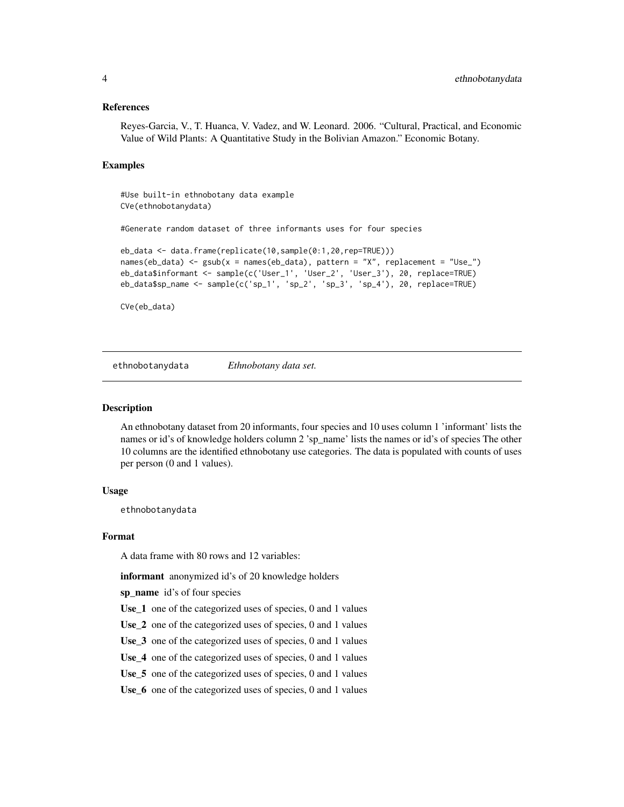#### <span id="page-3-0"></span>References

Reyes-Garcia, V., T. Huanca, V. Vadez, and W. Leonard. 2006. "Cultural, Practical, and Economic Value of Wild Plants: A Quantitative Study in the Bolivian Amazon." Economic Botany.

# Examples

#Use built-in ethnobotany data example CVe(ethnobotanydata)

#Generate random dataset of three informants uses for four species

```
eb_data <- data.frame(replicate(10,sample(0:1,20,rep=TRUE)))
names(eb_data) <- gsub(x = names(eb_data), pattern = "X", replacement = "Use_")
eb_data$informant <- sample(c('User_1', 'User_2', 'User_3'), 20, replace=TRUE)
eb_data$sp_name <- sample(c('sp_1', 'sp_2', 'sp_3', 'sp_4'), 20, replace=TRUE)
```
CVe(eb\_data)

ethnobotanydata *Ethnobotany data set.*

#### Description

An ethnobotany dataset from 20 informants, four species and 10 uses column 1 'informant' lists the names or id's of knowledge holders column 2 'sp\_name' lists the names or id's of species The other 10 columns are the identified ethnobotany use categories. The data is populated with counts of uses per person (0 and 1 values).

#### Usage

ethnobotanydata

#### Format

A data frame with 80 rows and 12 variables:

informant anonymized id's of 20 knowledge holders

sp\_name id's of four species

Use\_1 one of the categorized uses of species, 0 and 1 values

Use\_2 one of the categorized uses of species, 0 and 1 values

Use<sub>\_3</sub> one of the categorized uses of species, 0 and 1 values

Use\_4 one of the categorized uses of species, 0 and 1 values

Use\_5 one of the categorized uses of species, 0 and 1 values

Use\_6 one of the categorized uses of species, 0 and 1 values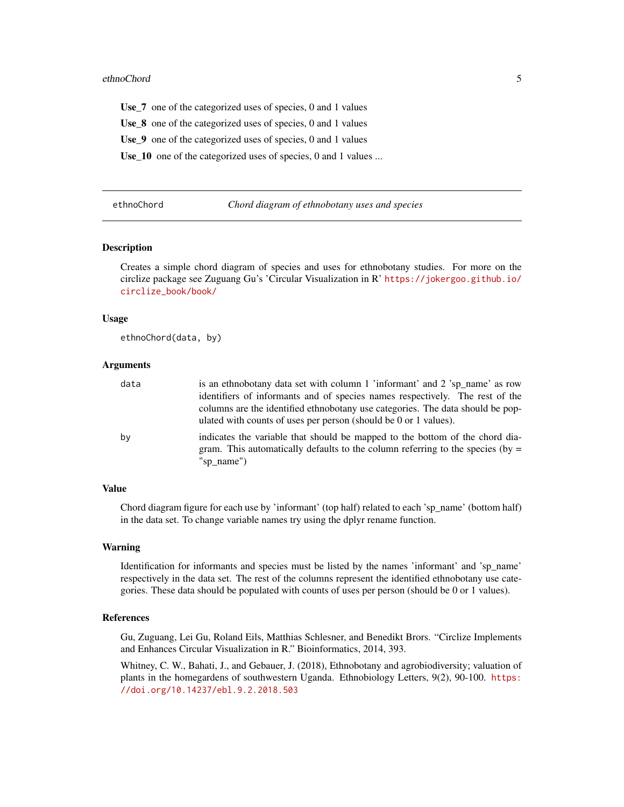#### <span id="page-4-0"></span>ethnoChord 5

Use\_7 one of the categorized uses of species, 0 and 1 values

Use\_8 one of the categorized uses of species, 0 and 1 values

Use\_9 one of the categorized uses of species, 0 and 1 values

Use\_10 one of the categorized uses of species, 0 and 1 values ...

| ethnoChord |  |  |
|------------|--|--|
|            |  |  |

#### Chord diagram of ethnobotany uses and species

#### Description

Creates a simple chord diagram of species and uses for ethnobotany studies. For more on the circlize package see Zuguang Gu's 'Circular Visualization in R' [https://jokergoo.github.io/](https://jokergoo.github.io/circlize_book/book/) [circlize\\_book/book/](https://jokergoo.github.io/circlize_book/book/)

#### Usage

ethnoChord(data, by)

#### Arguments

| data | is an ethnobotany data set with column 1 'informant' and 2 'sp_name' as row                                                                                                    |
|------|--------------------------------------------------------------------------------------------------------------------------------------------------------------------------------|
|      | identifiers of informants and of species names respectively. The rest of the                                                                                                   |
|      | columns are the identified ethnobotany use categories. The data should be pop-<br>ulated with counts of uses per person (should be 0 or 1 values).                             |
| by   | indicates the variable that should be mapped to the bottom of the chord dia-<br>gram. This automatically defaults to the column referring to the species (by $=$<br>"sp_name") |

#### Value

Chord diagram figure for each use by 'informant' (top half) related to each 'sp\_name' (bottom half) in the data set. To change variable names try using the dplyr rename function.

#### Warning

Identification for informants and species must be listed by the names 'informant' and 'sp\_name' respectively in the data set. The rest of the columns represent the identified ethnobotany use categories. These data should be populated with counts of uses per person (should be 0 or 1 values).

#### References

Gu, Zuguang, Lei Gu, Roland Eils, Matthias Schlesner, and Benedikt Brors. "Circlize Implements and Enhances Circular Visualization in R." Bioinformatics, 2014, 393.

Whitney, C. W., Bahati, J., and Gebauer, J. (2018), Ethnobotany and agrobiodiversity; valuation of plants in the homegardens of southwestern Uganda. Ethnobiology Letters, 9(2), 90-100. [https:](https://doi.org/10.14237/ebl.9.2.2018.503) [//doi.org/10.14237/ebl.9.2.2018.503](https://doi.org/10.14237/ebl.9.2.2018.503)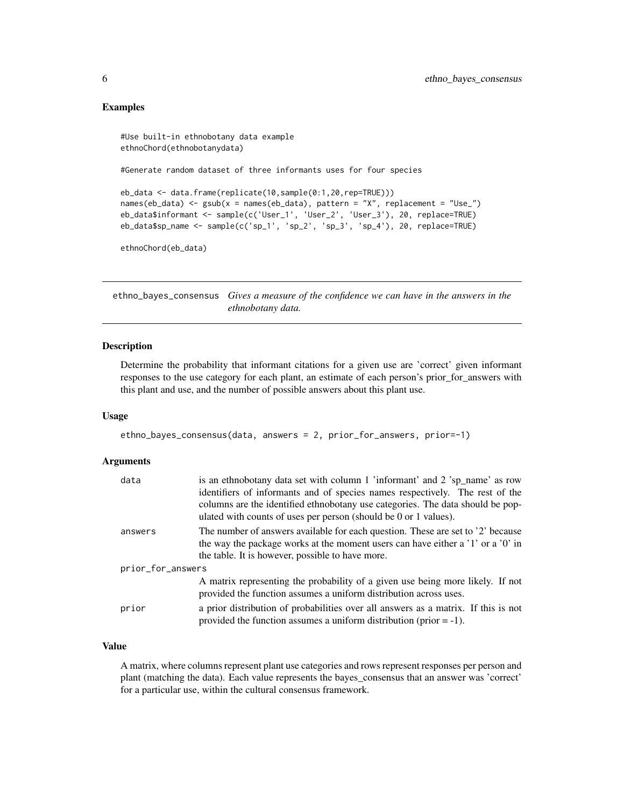# Examples

```
#Use built-in ethnobotany data example
ethnoChord(ethnobotanydata)
#Generate random dataset of three informants uses for four species
eb_data <- data.frame(replicate(10,sample(0:1,20,rep=TRUE)))
names(eb_data) <- gsub(x = names(eb_data), pattern = "X", replacement = "Use_")
eb_data$informant <- sample(c('User_1', 'User_2', 'User_3'), 20, replace=TRUE)
eb_data$sp_name <- sample(c('sp_1', 'sp_2', 'sp_3', 'sp_4'), 20, replace=TRUE)
ethnoChord(eb_data)
```
ethno\_bayes\_consensus *Gives a measure of the confidence we can have in the answers in the ethnobotany data.*

#### Description

Determine the probability that informant citations for a given use are 'correct' given informant responses to the use category for each plant, an estimate of each person's prior\_for\_answers with this plant and use, and the number of possible answers about this plant use.

# Usage

```
ethno_bayes_consensus(data, answers = 2, prior_for_answers, prior=-1)
```
#### Arguments

| data              | is an ethnobotany data set with column 1 'informant' and 2 'sp_name' as row                                                                                                                                            |
|-------------------|------------------------------------------------------------------------------------------------------------------------------------------------------------------------------------------------------------------------|
|                   | identifiers of informants and of species names respectively. The rest of the                                                                                                                                           |
|                   | columns are the identified ethnobotany use categories. The data should be pop-<br>ulated with counts of uses per person (should be 0 or 1 values).                                                                     |
| answers           | The number of answers available for each question. These are set to '2' because<br>the way the package works at the moment users can have either a '1' or a '0' in<br>the table. It is however, possible to have more. |
| prior_for_answers |                                                                                                                                                                                                                        |
|                   | A matrix representing the probability of a given use being more likely. If not<br>provided the function assumes a uniform distribution across uses.                                                                    |
| prior             | a prior distribution of probabilities over all answers as a matrix. If this is not<br>provided the function assumes a uniform distribution (prior $= -1$ ).                                                            |

# Value

A matrix, where columns represent plant use categories and rows represent responses per person and plant (matching the data). Each value represents the bayes\_consensus that an answer was 'correct' for a particular use, within the cultural consensus framework.

<span id="page-5-0"></span>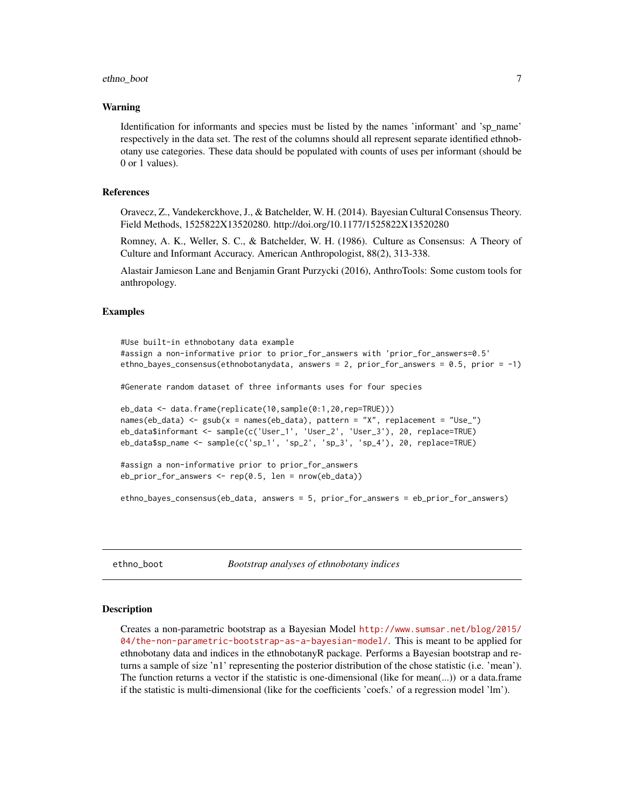# <span id="page-6-0"></span>ethno\_boot 7

#### Warning

Identification for informants and species must be listed by the names 'informant' and 'sp\_name' respectively in the data set. The rest of the columns should all represent separate identified ethnobotany use categories. These data should be populated with counts of uses per informant (should be 0 or 1 values).

#### References

Oravecz, Z., Vandekerckhove, J., & Batchelder, W. H. (2014). Bayesian Cultural Consensus Theory. Field Methods, 1525822X13520280. http://doi.org/10.1177/1525822X13520280

Romney, A. K., Weller, S. C., & Batchelder, W. H. (1986). Culture as Consensus: A Theory of Culture and Informant Accuracy. American Anthropologist, 88(2), 313-338.

Alastair Jamieson Lane and Benjamin Grant Purzycki (2016), AnthroTools: Some custom tools for anthropology.

#### Examples

```
#Use built-in ethnobotany data example
#assign a non-informative prior to prior_for_answers with 'prior_for_answers=0.5'
ethno_bayes_consensus(ethnobotanydata, answers = 2, prior_for_answers = 0.5, prior = -1)
#Generate random dataset of three informants uses for four species
eb_data <- data.frame(replicate(10,sample(0:1,20,rep=TRUE)))
names(eb_data) <- gsub(x = names(eb_data), pattern = "X", replacement = "Use_")
eb_data$informant <- sample(c('User_1', 'User_2', 'User_3'), 20, replace=TRUE)
eb_data$sp_name <- sample(c('sp_1', 'sp_2', 'sp_3', 'sp_4'), 20, replace=TRUE)
#assign a non-informative prior to prior_for_answers
```

```
eb_prior_for_answers <- rep(0.5, len = nrow(eb_data))
```

```
ethno_bayes_consensus(eb_data, answers = 5, prior_for_answers = eb_prior_for_answers)
```
ethno\_boot *Bootstrap analyses of ethnobotany indices*

#### Description

Creates a non-parametric bootstrap as a Bayesian Model [http://www.sumsar.net/blog/2015/](http://www.sumsar.net/blog/2015/04/the-non-parametric-bootstrap-as-a-bayesian-model/) [04/the-non-parametric-bootstrap-as-a-bayesian-model/](http://www.sumsar.net/blog/2015/04/the-non-parametric-bootstrap-as-a-bayesian-model/). This is meant to be applied for ethnobotany data and indices in the ethnobotanyR package. Performs a Bayesian bootstrap and returns a sample of size 'n1' representing the posterior distribution of the chose statistic (i.e. 'mean'). The function returns a vector if the statistic is one-dimensional (like for mean(...)) or a data.frame if the statistic is multi-dimensional (like for the coefficients 'coefs.' of a regression model 'lm').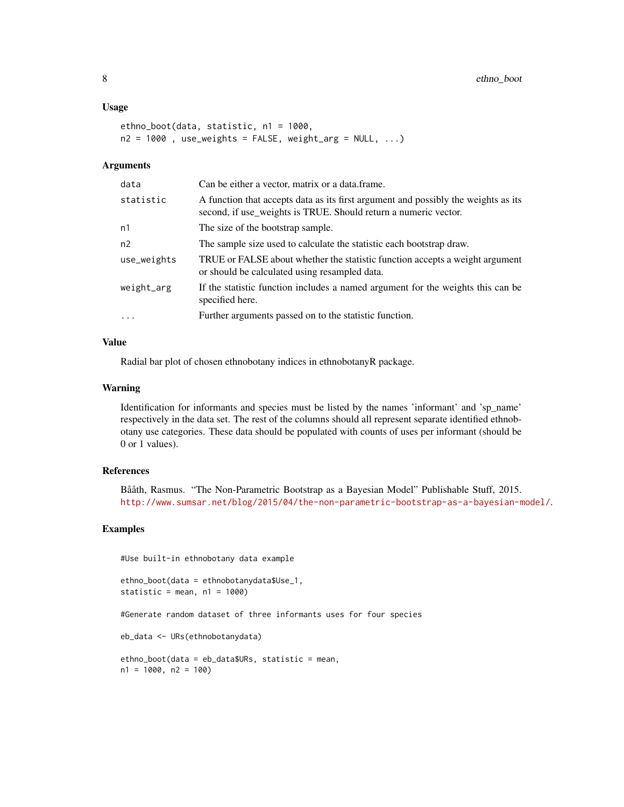#### Usage

```
ethno_boot(data, statistic, n1 = 1000,
n2 = 1000, use_weights = FALSE, weight_arg = NULL, ...)
```
#### **Arguments**

| data           | Can be either a vector, matrix or a data.frame.                                                                                                       |
|----------------|-------------------------------------------------------------------------------------------------------------------------------------------------------|
| statistic      | A function that accepts data as its first argument and possibly the weights as its<br>second, if use_weights is TRUE. Should return a numeric vector. |
| n1             | The size of the bootstrap sample.                                                                                                                     |
| n <sub>2</sub> | The sample size used to calculate the statistic each bootstrap draw.                                                                                  |
| use_weights    | TRUE or FALSE about whether the statistic function accepts a weight argument<br>or should be calculated using resampled data.                         |
| weight_arg     | If the statistic function includes a named argument for the weights this can be<br>specified here.                                                    |
| $\ddots$ .     | Further arguments passed on to the statistic function.                                                                                                |
|                |                                                                                                                                                       |

# Value

Radial bar plot of chosen ethnobotany indices in ethnobotanyR package.

# Warning

Identification for informants and species must be listed by the names 'informant' and 'sp\_name' respectively in the data set. The rest of the columns should all represent separate identified ethnobotany use categories. These data should be populated with counts of uses per informant (should be 0 or 1 values).

# References

Bååth, Rasmus. "The Non-Parametric Bootstrap as a Bayesian Model" Publishable Stuff, 2015. <http://www.sumsar.net/blog/2015/04/the-non-parametric-bootstrap-as-a-bayesian-model/>.

#### Examples

#Use built-in ethnobotany data example

```
ethno_boot(data = ethnobotanydata$Use_1,
statistic = mean, n1 = 1000)
```
#Generate random dataset of three informants uses for four species

eb\_data <- URs(ethnobotanydata)

```
ethno_boot(data = eb_data$URs, statistic = mean,
n1 = 1000, n2 = 100
```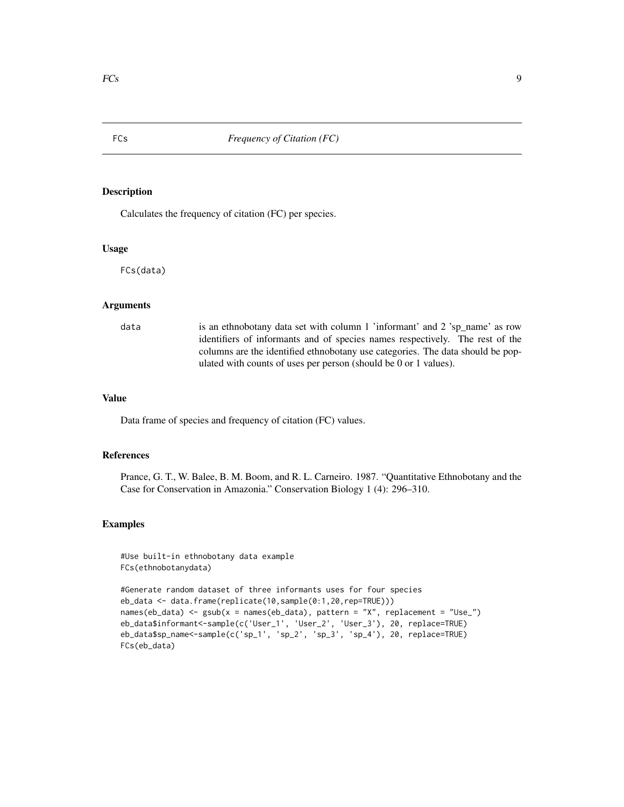<span id="page-8-0"></span>

# Description

Calculates the frequency of citation (FC) per species.

#### Usage

FCs(data)

#### Arguments

data is an ethnobotany data set with column 1 'informant' and 2 'sp\_name' as row identifiers of informants and of species names respectively. The rest of the columns are the identified ethnobotany use categories. The data should be populated with counts of uses per person (should be 0 or 1 values).

# Value

Data frame of species and frequency of citation (FC) values.

# References

Prance, G. T., W. Balee, B. M. Boom, and R. L. Carneiro. 1987. "Quantitative Ethnobotany and the Case for Conservation in Amazonia." Conservation Biology 1 (4): 296–310.

#### Examples

#Use built-in ethnobotany data example FCs(ethnobotanydata)

```
#Generate random dataset of three informants uses for four species
eb_data <- data.frame(replicate(10,sample(0:1,20,rep=TRUE)))
names(eb_data) <- gsub(x = names(eb_data), pattern = "X", replacement = "Use_")
eb_data$informant<-sample(c('User_1', 'User_2', 'User_3'), 20, replace=TRUE)
eb_data$sp_name<-sample(c('sp_1', 'sp_2', 'sp_3', 'sp_4'), 20, replace=TRUE)
FCs(eb_data)
```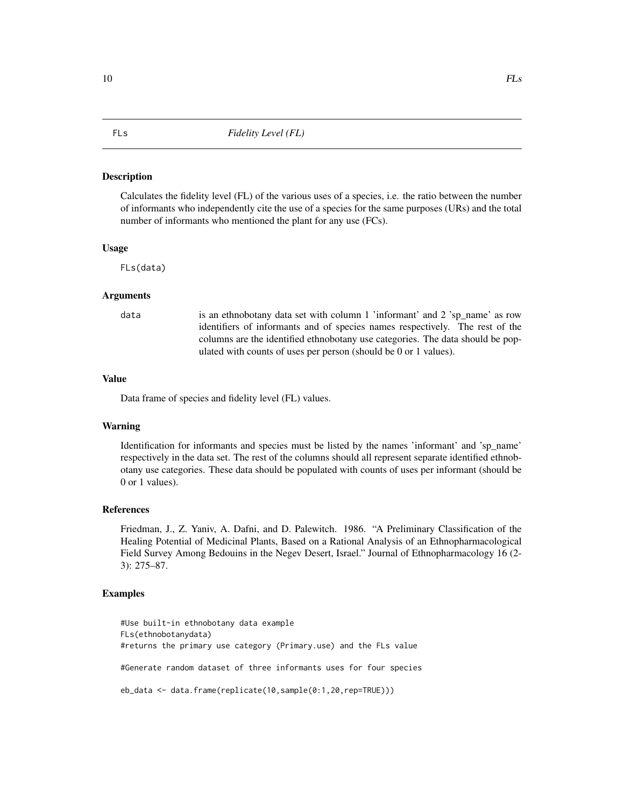#### <span id="page-9-0"></span>Description

Calculates the fidelity level (FL) of the various uses of a species, i.e. the ratio between the number of informants who independently cite the use of a species for the same purposes (URs) and the total number of informants who mentioned the plant for any use (FCs).

#### Usage

FLs(data)

# Arguments

data is an ethnobotany data set with column 1 'informant' and 2 'sp\_name' as row identifiers of informants and of species names respectively. The rest of the columns are the identified ethnobotany use categories. The data should be populated with counts of uses per person (should be 0 or 1 values).

#### Value

Data frame of species and fidelity level (FL) values.

# Warning

Identification for informants and species must be listed by the names 'informant' and 'sp\_name' respectively in the data set. The rest of the columns should all represent separate identified ethnobotany use categories. These data should be populated with counts of uses per informant (should be 0 or 1 values).

# References

Friedman, J., Z. Yaniv, A. Dafni, and D. Palewitch. 1986. "A Preliminary Classification of the Healing Potential of Medicinal Plants, Based on a Rational Analysis of an Ethnopharmacological Field Survey Among Bedouins in the Negev Desert, Israel." Journal of Ethnopharmacology 16 (2- 3): 275–87.

#### Examples

#Use built-in ethnobotany data example FLs(ethnobotanydata) #returns the primary use category (Primary.use) and the FLs value #Generate random dataset of three informants uses for four species eb\_data <- data.frame(replicate(10,sample(0:1,20,rep=TRUE)))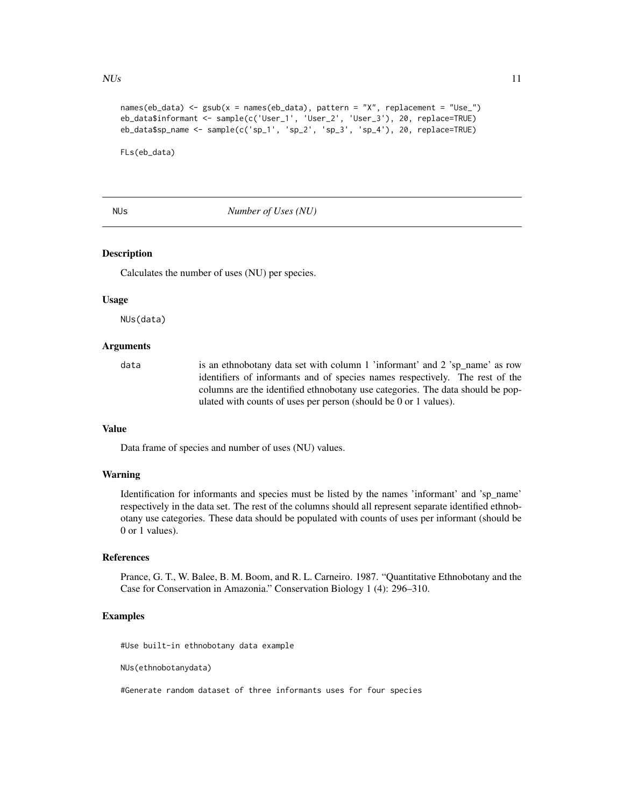#### <span id="page-10-0"></span> $NUs$  11

```
names(eb_data) <- gsub(x = names(eb_data), pattern = "X", replacement = "Use_")
eb_data$informant <- sample(c('User_1', 'User_2', 'User_3'), 20, replace=TRUE)
eb_data$sp_name <- sample(c('sp_1', 'sp_2', 'sp_3', 'sp_4'), 20, replace=TRUE)
```
FLs(eb\_data)

# NUs *Number of Uses (NU)*

# **Description**

Calculates the number of uses (NU) per species.

#### Usage

NUs(data)

# Arguments

data is an ethnobotany data set with column 1 'informant' and 2 'sp\_name' as row identifiers of informants and of species names respectively. The rest of the columns are the identified ethnobotany use categories. The data should be populated with counts of uses per person (should be 0 or 1 values).

# Value

Data frame of species and number of uses (NU) values.

### Warning

Identification for informants and species must be listed by the names 'informant' and 'sp\_name' respectively in the data set. The rest of the columns should all represent separate identified ethnobotany use categories. These data should be populated with counts of uses per informant (should be 0 or 1 values).

#### References

Prance, G. T., W. Balee, B. M. Boom, and R. L. Carneiro. 1987. "Quantitative Ethnobotany and the Case for Conservation in Amazonia." Conservation Biology 1 (4): 296–310.

# Examples

#Use built-in ethnobotany data example

NUs(ethnobotanydata)

#Generate random dataset of three informants uses for four species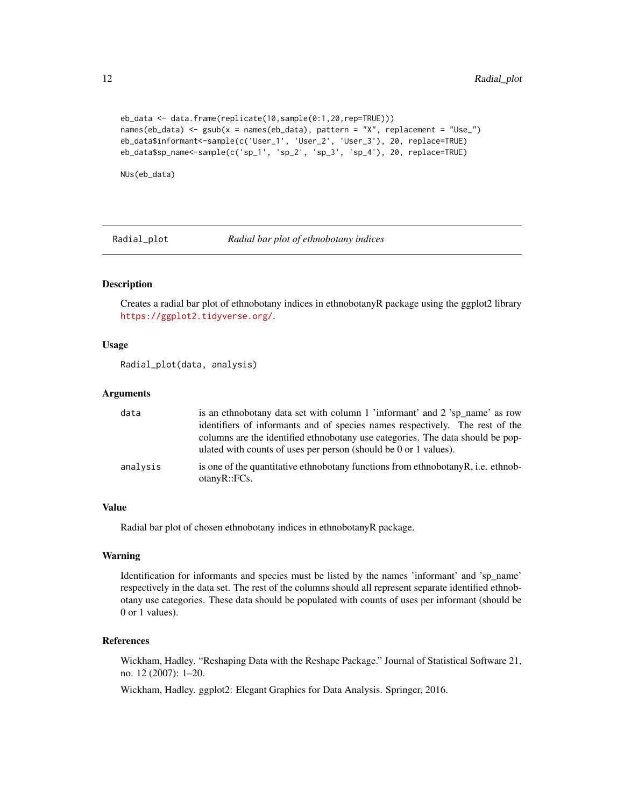```
eb_data <- data.frame(replicate(10,sample(0:1,20,rep=TRUE)))
names(eb_data) <- gsub(x = names(eb_data), pattern = "X", replacement = "Use_")
eb_data$informant<-sample(c('User_1', 'User_2', 'User_3'), 20, replace=TRUE)
eb_data$sp_name<-sample(c('sp_1', 'sp_2', 'sp_3', 'sp_4'), 20, replace=TRUE)
```
NUs(eb\_data)

Radial\_plot *Radial bar plot of ethnobotany indices*

#### **Description**

Creates a radial bar plot of ethnobotany indices in ethnobotanyR package using the ggplot2 library <https://ggplot2.tidyverse.org/>.

#### Usage

```
Radial_plot(data, analysis)
```
# Arguments

| data     | is an ethnobotany data set with column 1 'informant' and 2 'sp_name' as row<br>identifiers of informants and of species names respectively. The rest of the<br>columns are the identified ethnobotany use categories. The data should be pop-<br>ulated with counts of uses per person (should be 0 or 1 values). |
|----------|-------------------------------------------------------------------------------------------------------------------------------------------------------------------------------------------------------------------------------------------------------------------------------------------------------------------|
| analysis | is one of the quantitative ethnobotany functions from ethnobotany R, i.e. ethnob-<br>otanvR::FCs.                                                                                                                                                                                                                 |

#### Value

Radial bar plot of chosen ethnobotany indices in ethnobotanyR package.

#### Warning

Identification for informants and species must be listed by the names 'informant' and 'sp\_name' respectively in the data set. The rest of the columns should all represent separate identified ethnobotany use categories. These data should be populated with counts of uses per informant (should be 0 or 1 values).

# References

Wickham, Hadley. "Reshaping Data with the Reshape Package." Journal of Statistical Software 21, no. 12 (2007): 1–20.

Wickham, Hadley. ggplot2: Elegant Graphics for Data Analysis. Springer, 2016.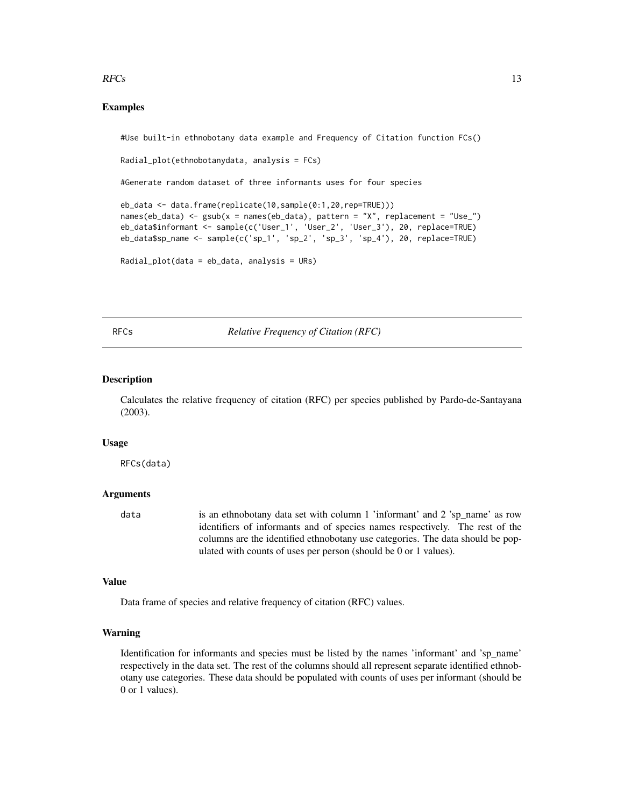#### <span id="page-12-0"></span> $RFCs$  13

# Examples

#Use built-in ethnobotany data example and Frequency of Citation function FCs()

Radial\_plot(ethnobotanydata, analysis = FCs)

#Generate random dataset of three informants uses for four species

```
eb_data <- data.frame(replicate(10,sample(0:1,20,rep=TRUE)))
names(eb_data) <- gsub(x = names(eb_data), pattern = "X", replacement = "Use_")
eb_data$informant <- sample(c('User_1', 'User_2', 'User_3'), 20, replace=TRUE)
eb\_data$sp_name <- sample(c('sp_1', 'sp_2', 'sp_3', 'sp_4'), 20, replace=TRUE)
```

```
Radial_plot(data = eb_data, analysis = URs)
```
RFCs *Relative Frequency of Citation (RFC)*

#### Description

Calculates the relative frequency of citation (RFC) per species published by Pardo-de-Santayana (2003).

#### Usage

RFCs(data)

# Arguments

data is an ethnobotany data set with column 1 'informant' and 2 'sp\_name' as row identifiers of informants and of species names respectively. The rest of the columns are the identified ethnobotany use categories. The data should be populated with counts of uses per person (should be 0 or 1 values).

# Value

Data frame of species and relative frequency of citation (RFC) values.

# Warning

Identification for informants and species must be listed by the names 'informant' and 'sp\_name' respectively in the data set. The rest of the columns should all represent separate identified ethnobotany use categories. These data should be populated with counts of uses per informant (should be 0 or 1 values).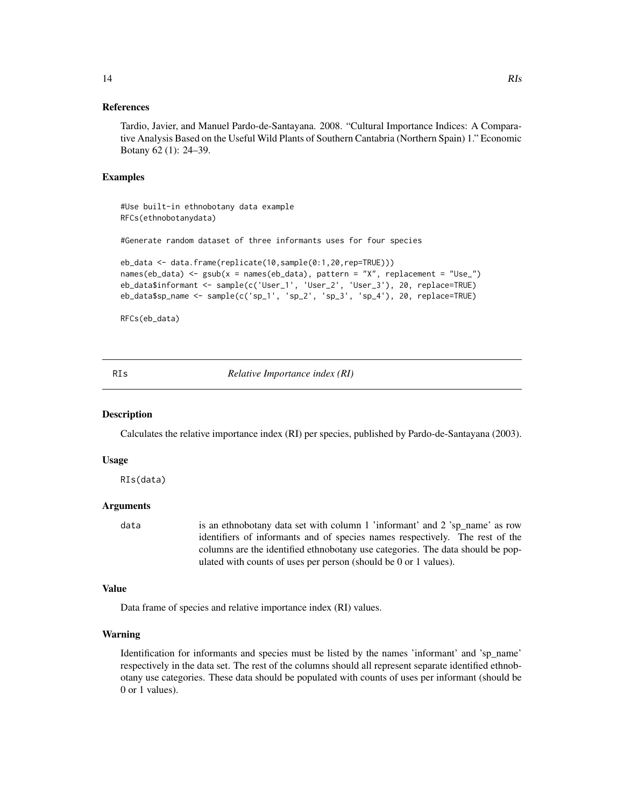#### References

Tardio, Javier, and Manuel Pardo-de-Santayana. 2008. "Cultural Importance Indices: A Comparative Analysis Based on the Useful Wild Plants of Southern Cantabria (Northern Spain) 1." Economic Botany 62 (1): 24–39.

#### Examples

#Use built-in ethnobotany data example RFCs(ethnobotanydata)

#Generate random dataset of three informants uses for four species

```
eb_data <- data.frame(replicate(10,sample(0:1,20,rep=TRUE)))
names(eb_data) <- gsub(x = names(eb_data), pattern = "X", replacement = "Use_")
eb_data$informant <- sample(c('User_1', 'User_2', 'User_3'), 20, replace=TRUE)
eb_data$sp_name <- sample(c('sp_1', 'sp_2', 'sp_3', 'sp_4'), 20, replace=TRUE)
```

```
RFCs(eb_data)
```
RIs *Relative Importance index (RI)*

# **Description**

Calculates the relative importance index (RI) per species, published by Pardo-de-Santayana (2003).

#### Usage

RIs(data)

# Arguments

data is an ethnobotany data set with column 1 'informant' and 2 'sp\_name' as row identifiers of informants and of species names respectively. The rest of the columns are the identified ethnobotany use categories. The data should be populated with counts of uses per person (should be 0 or 1 values).

#### Value

Data frame of species and relative importance index (RI) values.

#### Warning

Identification for informants and species must be listed by the names 'informant' and 'sp\_name' respectively in the data set. The rest of the columns should all represent separate identified ethnobotany use categories. These data should be populated with counts of uses per informant (should be 0 or 1 values).

<span id="page-13-0"></span>14 RIs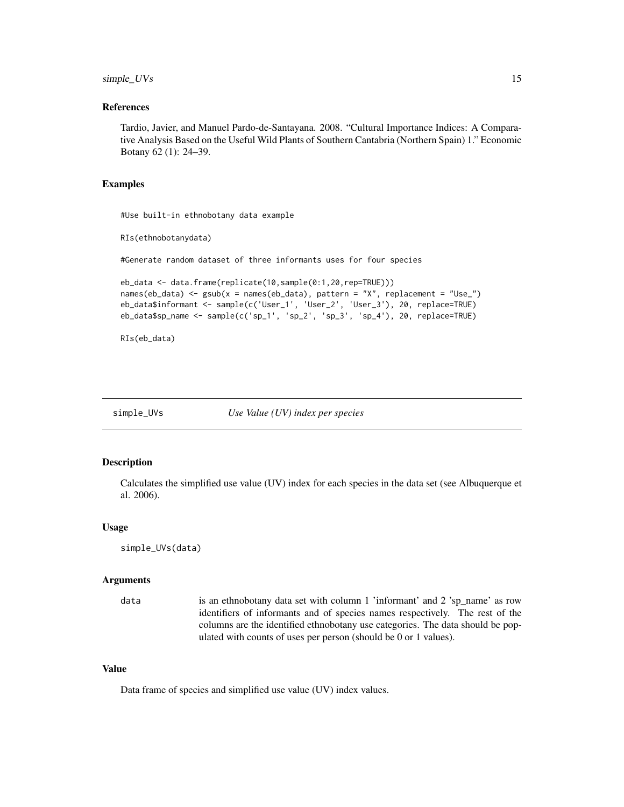# <span id="page-14-0"></span>simple\_UVs 15

# References

Tardio, Javier, and Manuel Pardo-de-Santayana. 2008. "Cultural Importance Indices: A Comparative Analysis Based on the Useful Wild Plants of Southern Cantabria (Northern Spain) 1." Economic Botany 62 (1): 24–39.

# Examples

#Use built-in ethnobotany data example

```
RIs(ethnobotanydata)
```
#Generate random dataset of three informants uses for four species

```
eb_data <- data.frame(replicate(10,sample(0:1,20,rep=TRUE)))
names(eb_data) <- gsub(x = name(eb_data), pattern = "X", replacement = "Use"eb_data$informant <- sample(c('User_1', 'User_2', 'User_3'), 20, replace=TRUE)
eb_data$sp_name <- sample(c('sp_1', 'sp_2', 'sp_3', 'sp_4'), 20, replace=TRUE)
```
RIs(eb\_data)

simple\_UVs *Use Value (UV) index per species*

#### Description

Calculates the simplified use value (UV) index for each species in the data set (see Albuquerque et al. 2006).

#### Usage

```
simple_UVs(data)
```
#### Arguments

data is an ethnobotany data set with column 1 'informant' and 2 'sp\_name' as row identifiers of informants and of species names respectively. The rest of the columns are the identified ethnobotany use categories. The data should be populated with counts of uses per person (should be 0 or 1 values).

#### Value

Data frame of species and simplified use value (UV) index values.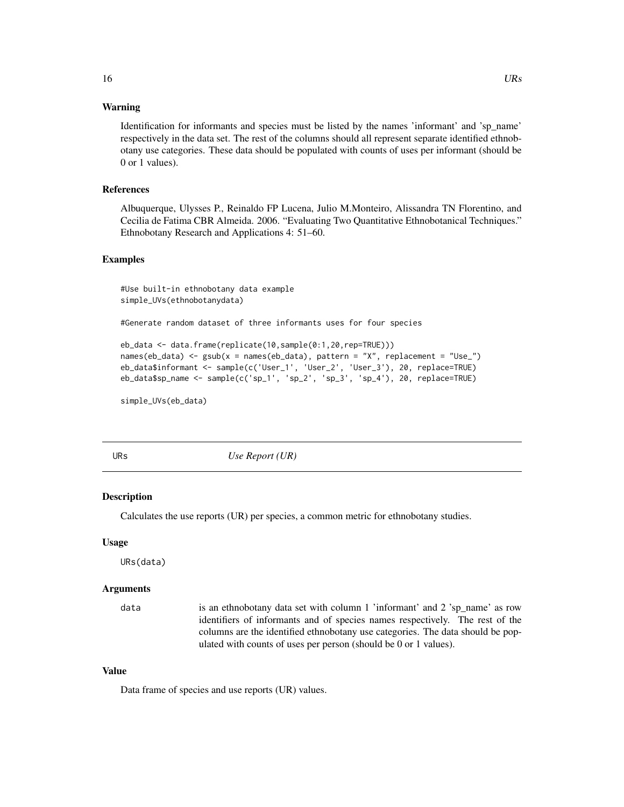# <span id="page-15-0"></span>Warning

Identification for informants and species must be listed by the names 'informant' and 'sp\_name' respectively in the data set. The rest of the columns should all represent separate identified ethnobotany use categories. These data should be populated with counts of uses per informant (should be 0 or 1 values).

#### References

Albuquerque, Ulysses P., Reinaldo FP Lucena, Julio M.Monteiro, Alissandra TN Florentino, and Cecilia de Fatima CBR Almeida. 2006. "Evaluating Two Quantitative Ethnobotanical Techniques." Ethnobotany Research and Applications 4: 51–60.

# Examples

#Use built-in ethnobotany data example simple\_UVs(ethnobotanydata)

#Generate random dataset of three informants uses for four species

```
eb_data <- data.frame(replicate(10,sample(0:1,20,rep=TRUE)))
names(eb_data) <- gsub(x = names(eb_data), pattern = "X", replacement = "Use_")
eb_data$informant <- sample(c('User_1', 'User_2', 'User_3'), 20, replace=TRUE)
eb\_data$sp_name <- sample(c('sp_1', 'sp_2', 'sp_3', 'sp_4'), 20, replace=TRUE)
```
simple\_UVs(eb\_data)

URs *Use Report (UR)*

#### Description

Calculates the use reports (UR) per species, a common metric for ethnobotany studies.

#### Usage

URs(data)

#### Arguments

data is an ethnobotany data set with column 1 'informant' and 2 'sp\_name' as row identifiers of informants and of species names respectively. The rest of the columns are the identified ethnobotany use categories. The data should be populated with counts of uses per person (should be 0 or 1 values).

#### Value

Data frame of species and use reports (UR) values.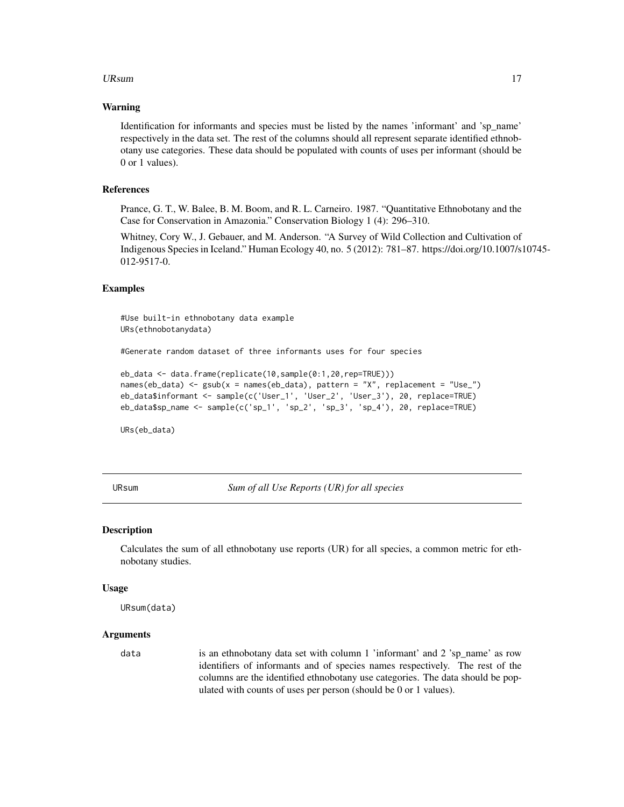#### <span id="page-16-0"></span>URsum and the contract of the contract of the contract of the contract of the contract of the contract of the contract of the contract of the contract of the contract of the contract of the contract of the contract of the

#### Warning

Identification for informants and species must be listed by the names 'informant' and 'sp\_name' respectively in the data set. The rest of the columns should all represent separate identified ethnobotany use categories. These data should be populated with counts of uses per informant (should be 0 or 1 values).

#### References

Prance, G. T., W. Balee, B. M. Boom, and R. L. Carneiro. 1987. "Quantitative Ethnobotany and the Case for Conservation in Amazonia." Conservation Biology 1 (4): 296–310.

Whitney, Cory W., J. Gebauer, and M. Anderson. "A Survey of Wild Collection and Cultivation of Indigenous Species in Iceland." Human Ecology 40, no. 5 (2012): 781–87. https://doi.org/10.1007/s10745- 012-9517-0.

# Examples

#Use built-in ethnobotany data example URs(ethnobotanydata)

#Generate random dataset of three informants uses for four species

```
eb_data <- data.frame(replicate(10,sample(0:1,20,rep=TRUE)))
names(eb_data) <- gsub(x = names(eb_data), pattern = "X", replacement = "Use_")
eb_data$informant <- sample(c('User_1', 'User_2', 'User_3'), 20, replace=TRUE)
eb_data$sp_name <- sample(c('sp_1', 'sp_2', 'sp_3', 'sp_4'), 20, replace=TRUE)
```
URs(eb\_data)

URsum *Sum of all Use Reports (UR) for all species*

#### **Description**

Calculates the sum of all ethnobotany use reports (UR) for all species, a common metric for ethnobotany studies.

#### Usage

URsum(data)

#### Arguments

data is an ethnobotany data set with column 1 'informant' and 2 'sp\_name' as row identifiers of informants and of species names respectively. The rest of the columns are the identified ethnobotany use categories. The data should be populated with counts of uses per person (should be 0 or 1 values).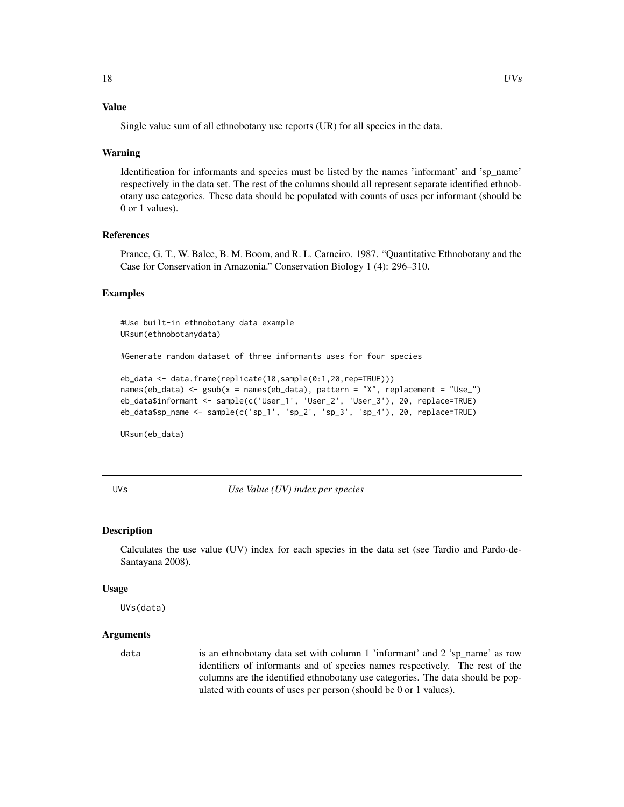# <span id="page-17-0"></span>Value

Single value sum of all ethnobotany use reports (UR) for all species in the data.

#### Warning

Identification for informants and species must be listed by the names 'informant' and 'sp\_name' respectively in the data set. The rest of the columns should all represent separate identified ethnobotany use categories. These data should be populated with counts of uses per informant (should be 0 or 1 values).

# References

Prance, G. T., W. Balee, B. M. Boom, and R. L. Carneiro. 1987. "Quantitative Ethnobotany and the Case for Conservation in Amazonia." Conservation Biology 1 (4): 296–310.

# Examples

#Use built-in ethnobotany data example URsum(ethnobotanydata)

#Generate random dataset of three informants uses for four species

```
eb_data <- data.frame(replicate(10,sample(0:1,20,rep=TRUE)))
names(eb_data) <- gsub(x = names(eb_data), pattern = "X", replacement = "Use_")
eb_data$informant <- sample(c('User_1', 'User_2', 'User_3'), 20, replace=TRUE)
eb_data$sp_name <- sample(c('sp_1', 'sp_2', 'sp_3', 'sp_4'), 20, replace=TRUE)
```
URsum(eb\_data)

UVs *Use Value (UV) index per species*

#### Description

Calculates the use value (UV) index for each species in the data set (see Tardio and Pardo-de-Santayana 2008).

#### Usage

UVs(data)

# Arguments

data is an ethnobotany data set with column 1 'informant' and 2 'sp\_name' as row identifiers of informants and of species names respectively. The rest of the columns are the identified ethnobotany use categories. The data should be populated with counts of uses per person (should be 0 or 1 values).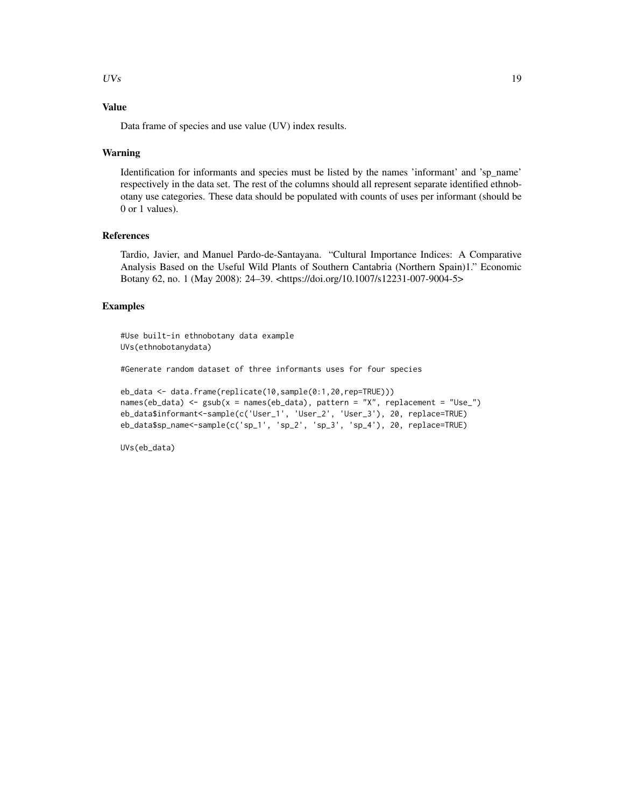### $UVs$  19

# Value

Data frame of species and use value (UV) index results.

#### Warning

Identification for informants and species must be listed by the names 'informant' and 'sp\_name' respectively in the data set. The rest of the columns should all represent separate identified ethnobotany use categories. These data should be populated with counts of uses per informant (should be 0 or 1 values).

#### References

Tardio, Javier, and Manuel Pardo-de-Santayana. "Cultural Importance Indices: A Comparative Analysis Based on the Useful Wild Plants of Southern Cantabria (Northern Spain)1." Economic Botany 62, no. 1 (May 2008): 24–39. <https://doi.org/10.1007/s12231-007-9004-5>

# Examples

#Use built-in ethnobotany data example UVs(ethnobotanydata)

#Generate random dataset of three informants uses for four species

```
eb_data <- data.frame(replicate(10,sample(0:1,20,rep=TRUE)))
names(eb_data) \leq-gsub(x = names(eb_data), pattern = "X", replacement = "Use"]eb_data$informant<-sample(c('User_1', 'User_2', 'User_3'), 20, replace=TRUE)
eb_data$sp_name<-sample(c('sp_1', 'sp_2', 'sp_3', 'sp_4'), 20, replace=TRUE)
```
UVs(eb\_data)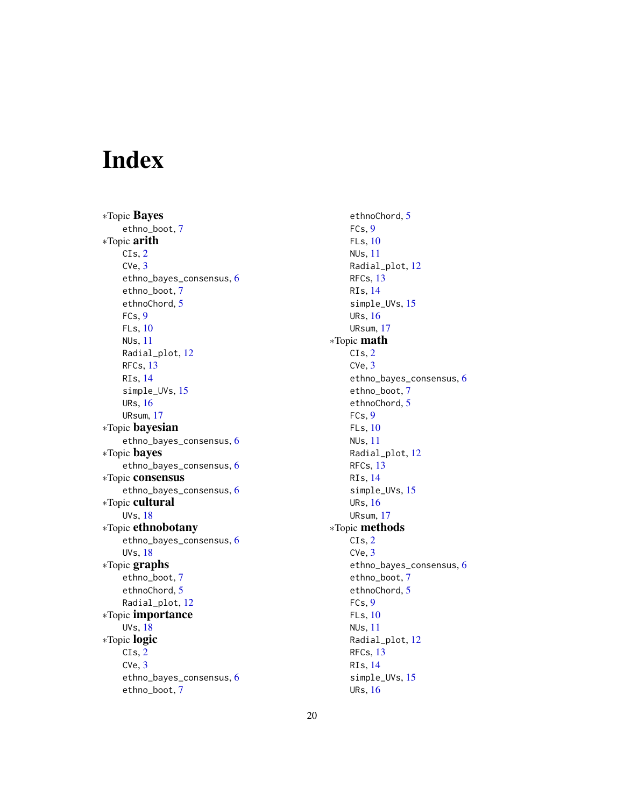# <span id="page-19-0"></span>Index

∗Topic Bayes ethno\_boot, [7](#page-6-0) ∗Topic arith  $CIs, 2$  $CIs, 2$ CVe, [3](#page-2-0) ethno\_bayes\_consensus, [6](#page-5-0) ethno\_boot, [7](#page-6-0) ethnoChord, [5](#page-4-0) FCs, [9](#page-8-0) FLs, [10](#page-9-0) NUs, [11](#page-10-0) Radial\_plot, [12](#page-11-0) RFCs, [13](#page-12-0) RIs, [14](#page-13-0) simple\_UVs, [15](#page-14-0) URs, [16](#page-15-0) URsum, [17](#page-16-0) ∗Topic bayesian ethno\_bayes\_consensus, [6](#page-5-0) ∗Topic bayes ethno\_bayes\_consensus, [6](#page-5-0) ∗Topic consensus ethno\_bayes\_consensus, [6](#page-5-0) ∗Topic cultural UVs, [18](#page-17-0) ∗Topic ethnobotany ethno\_bayes\_consensus, [6](#page-5-0) UVs, [18](#page-17-0) ∗Topic graphs ethno\_boot, [7](#page-6-0) ethnoChord, [5](#page-4-0) Radial\_plot, [12](#page-11-0) ∗Topic importance UVs, [18](#page-17-0) ∗Topic logic  $CIs, 2$  $CIs, 2$ CVe, [3](#page-2-0) ethno\_bayes\_consensus, [6](#page-5-0) ethno\_boot, [7](#page-6-0)

ethnoChord, [5](#page-4-0) FCs, [9](#page-8-0) FLs, [10](#page-9-0) NUs, [11](#page-10-0) Radial\_plot, [12](#page-11-0) RFCs, [13](#page-12-0) RIs, [14](#page-13-0) simple\_UVs, [15](#page-14-0) URs, [16](#page-15-0) URsum, [17](#page-16-0) ∗Topic math CIs, [2](#page-1-0) CVe, [3](#page-2-0) ethno\_bayes\_consensus, [6](#page-5-0) ethno\_boot, [7](#page-6-0) ethnoChord, [5](#page-4-0) FCs, [9](#page-8-0) FLs, [10](#page-9-0) NUs, [11](#page-10-0) Radial\_plot, [12](#page-11-0) RFCs, [13](#page-12-0) RIs, [14](#page-13-0) simple\_UVs, [15](#page-14-0) URs, [16](#page-15-0) URsum, [17](#page-16-0) ∗Topic methods CIs, [2](#page-1-0) CVe, [3](#page-2-0) ethno\_bayes\_consensus, [6](#page-5-0) ethno\_boot, [7](#page-6-0) ethnoChord, [5](#page-4-0) FCs, [9](#page-8-0) FLs, [10](#page-9-0) NUs, [11](#page-10-0) Radial\_plot, [12](#page-11-0) RFCs, [13](#page-12-0) RIs, [14](#page-13-0) simple\_UVs, [15](#page-14-0) URs, [16](#page-15-0)